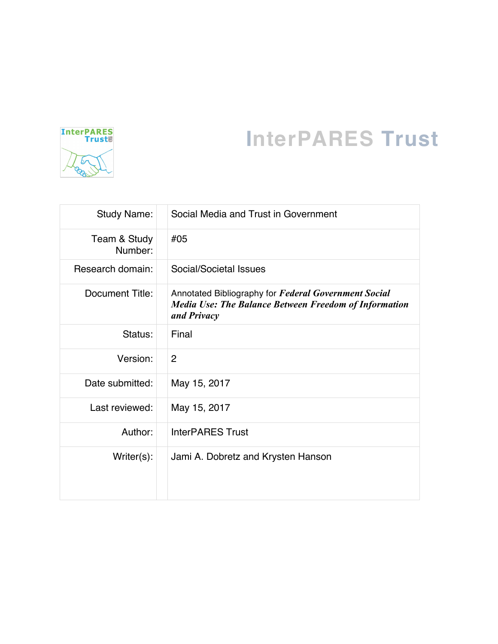

# **InterPARES Trust**

| <b>Study Name:</b>      | Social Media and Trust in Government                                                                                                |  |
|-------------------------|-------------------------------------------------------------------------------------------------------------------------------------|--|
| Team & Study<br>Number: | #05                                                                                                                                 |  |
| Research domain:        | Social/Societal Issues                                                                                                              |  |
| Document Title:         | Annotated Bibliography for Federal Government Social<br><b>Media Use: The Balance Between Freedom of Information</b><br>and Privacy |  |
| Status:                 | Final                                                                                                                               |  |
| Version:                | $\overline{2}$                                                                                                                      |  |
| Date submitted:         | May 15, 2017                                                                                                                        |  |
| Last reviewed:          | May 15, 2017                                                                                                                        |  |
| Author:                 | <b>InterPARES Trust</b>                                                                                                             |  |
| $Writer(s)$ :           | Jami A. Dobretz and Krysten Hanson                                                                                                  |  |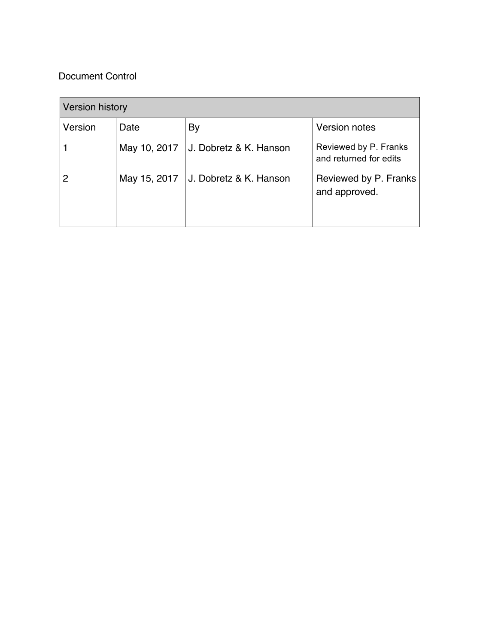# Document Control

| <b>Version history</b> |              |                        |                                                 |
|------------------------|--------------|------------------------|-------------------------------------------------|
| Version                | Date         | By                     | <b>Version notes</b>                            |
|                        | May 10, 2017 | J. Dobretz & K. Hanson | Reviewed by P. Franks<br>and returned for edits |
|                        | May 15, 2017 | J. Dobretz & K. Hanson | Reviewed by P. Franks<br>and approved.          |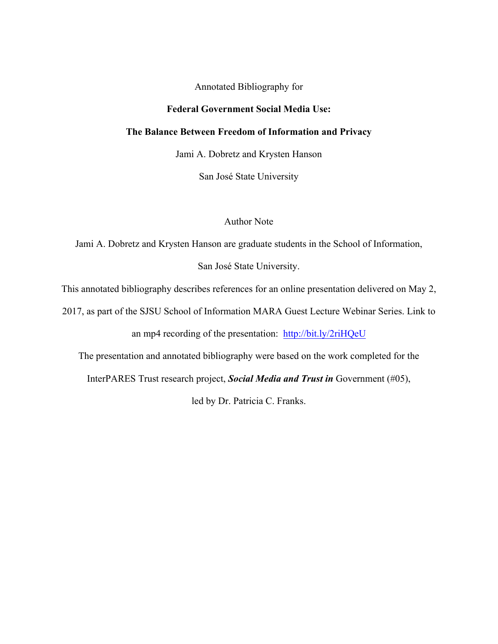Annotated Bibliography for

## **Federal Government Social Media Use:**

#### **The Balance Between Freedom of Information and Privacy**

Jami A. Dobretz and Krysten Hanson

San José State University

# Author Note

Jami A. Dobretz and Krysten Hanson are graduate students in the School of Information,

San José State University.

This annotated bibliography describes references for an online presentation delivered on May 2,

2017, as part of the SJSU School of Information MARA Guest Lecture Webinar Series. Link to

an mp4 recording of the presentation: http://bit.ly/2riHQeU

The presentation and annotated bibliography were based on the work completed for the

InterPARES Trust research project, *Social Media and Trust in* Government (#05),

led by Dr. Patricia C. Franks.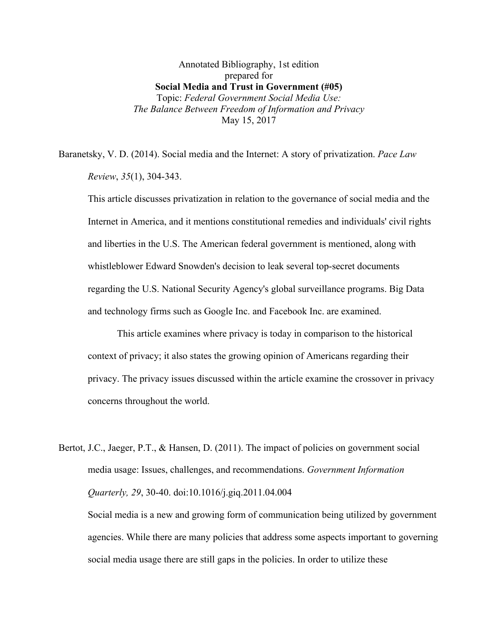Annotated Bibliography, 1st edition prepared for **Social Media and Trust in Government (#05)** Topic: *Federal Government Social Media Use: The Balance Between Freedom of Information and Privacy* May 15, 2017

Baranetsky, V. D. (2014). Social media and the Internet: A story of privatization. *Pace Law Review*, *35*(1), 304-343.

This article discusses privatization in relation to the governance of social media and the Internet in America, and it mentions constitutional remedies and individuals' civil rights and liberties in the U.S. The American federal government is mentioned, along with whistleblower Edward Snowden's decision to leak several top-secret documents regarding the U.S. National Security Agency's global surveillance programs. Big Data and technology firms such as Google Inc. and Facebook Inc. are examined.

This article examines where privacy is today in comparison to the historical context of privacy; it also states the growing opinion of Americans regarding their privacy. The privacy issues discussed within the article examine the crossover in privacy concerns throughout the world.

Bertot, J.C., Jaeger, P.T., & Hansen, D. (2011). The impact of policies on government social media usage: Issues, challenges, and recommendations. *Government Information Quarterly, 29*, 30-40. doi:10.1016/j.giq.2011.04.004

Social media is a new and growing form of communication being utilized by government agencies. While there are many policies that address some aspects important to governing social media usage there are still gaps in the policies. In order to utilize these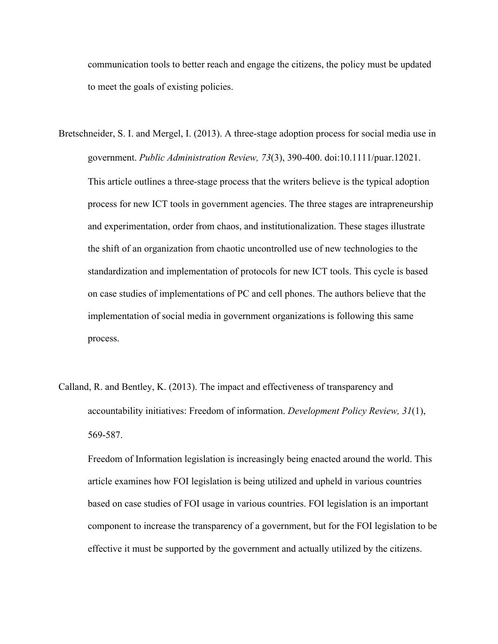communication tools to better reach and engage the citizens, the policy must be updated to meet the goals of existing policies.

- Bretschneider, S. I. and Mergel, I. (2013). A three-stage adoption process for social media use in government. *Public Administration Review, 73*(3), 390-400. doi:10.1111/puar.12021. This article outlines a three-stage process that the writers believe is the typical adoption process for new ICT tools in government agencies. The three stages are intrapreneurship and experimentation, order from chaos, and institutionalization. These stages illustrate the shift of an organization from chaotic uncontrolled use of new technologies to the standardization and implementation of protocols for new ICT tools. This cycle is based on case studies of implementations of PC and cell phones. The authors believe that the implementation of social media in government organizations is following this same process.
- Calland, R. and Bentley, K. (2013). The impact and effectiveness of transparency and accountability initiatives: Freedom of information. *Development Policy Review, 31*(1), 569-587.

Freedom of Information legislation is increasingly being enacted around the world. This article examines how FOI legislation is being utilized and upheld in various countries based on case studies of FOI usage in various countries. FOI legislation is an important component to increase the transparency of a government, but for the FOI legislation to be effective it must be supported by the government and actually utilized by the citizens.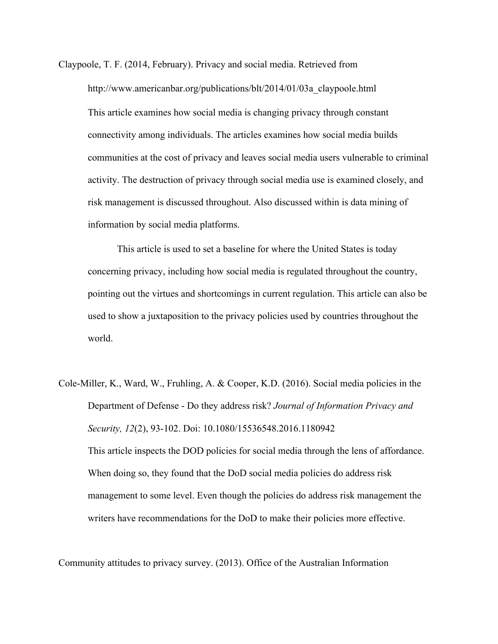Claypoole, T. F. (2014, February). Privacy and social media. Retrieved from http://www.americanbar.org/publications/blt/2014/01/03a\_claypoole.html This article examines how social media is changing privacy through constant connectivity among individuals. The articles examines how social media builds communities at the cost of privacy and leaves social media users vulnerable to criminal activity. The destruction of privacy through social media use is examined closely, and risk management is discussed throughout. Also discussed within is data mining of information by social media platforms.

This article is used to set a baseline for where the United States is today concerning privacy, including how social media is regulated throughout the country, pointing out the virtues and shortcomings in current regulation. This article can also be used to show a juxtaposition to the privacy policies used by countries throughout the world.

Cole-Miller, K., Ward, W., Fruhling, A. & Cooper, K.D. (2016). Social media policies in the Department of Defense - Do they address risk? *Journal of Information Privacy and Security, 12*(2), 93-102. Doi: 10.1080/15536548.2016.1180942 This article inspects the DOD policies for social media through the lens of affordance. When doing so, they found that the DoD social media policies do address risk management to some level. Even though the policies do address risk management the writers have recommendations for the DoD to make their policies more effective.

Community attitudes to privacy survey. (2013). Office of the Australian Information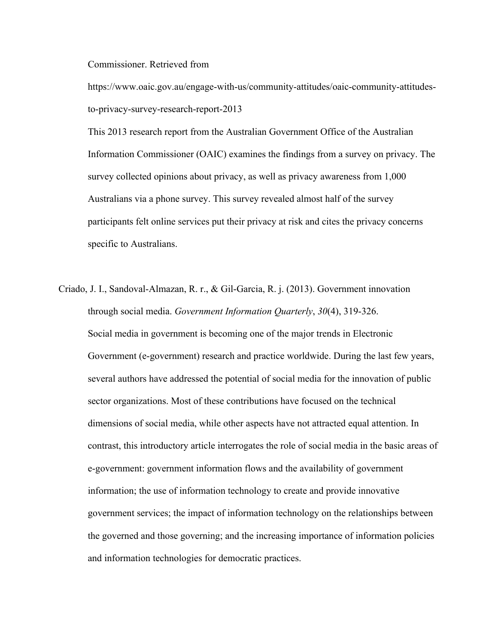Commissioner. Retrieved from

https://www.oaic.gov.au/engage-with-us/community-attitudes/oaic-community-attitudesto-privacy-survey-research-report-2013

This 2013 research report from the Australian Government Office of the Australian Information Commissioner (OAIC) examines the findings from a survey on privacy. The survey collected opinions about privacy, as well as privacy awareness from 1,000 Australians via a phone survey. This survey revealed almost half of the survey participants felt online services put their privacy at risk and cites the privacy concerns specific to Australians.

Criado, J. I., Sandoval-Almazan, R. r., & Gil-Garcia, R. j. (2013). Government innovation through social media. *Government Information Quarterly*, *30*(4), 319-326. Social media in government is becoming one of the major trends in Electronic Government (e-government) research and practice worldwide. During the last few years, several authors have addressed the potential of social media for the innovation of public sector organizations. Most of these contributions have focused on the technical dimensions of social media, while other aspects have not attracted equal attention. In contrast, this introductory article interrogates the role of social media in the basic areas of e-government: government information flows and the availability of government information; the use of information technology to create and provide innovative government services; the impact of information technology on the relationships between the governed and those governing; and the increasing importance of information policies and information technologies for democratic practices.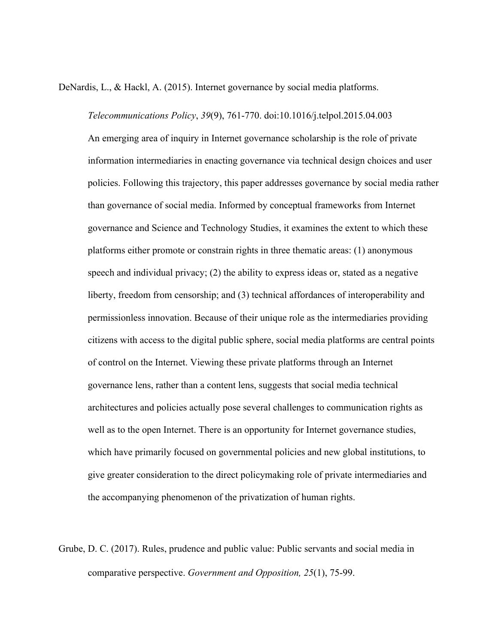DeNardis, L., & Hackl, A. (2015). Internet governance by social media platforms.

*Telecommunications Policy*, *39*(9), 761-770. doi:10.1016/j.telpol.2015.04.003 An emerging area of inquiry in Internet governance scholarship is the role of private information intermediaries in enacting governance via technical design choices and user policies. Following this trajectory, this paper addresses governance by social media rather than governance of social media. Informed by conceptual frameworks from Internet governance and Science and Technology Studies, it examines the extent to which these platforms either promote or constrain rights in three thematic areas: (1) anonymous speech and individual privacy; (2) the ability to express ideas or, stated as a negative liberty, freedom from censorship; and (3) technical affordances of interoperability and permissionless innovation. Because of their unique role as the intermediaries providing citizens with access to the digital public sphere, social media platforms are central points of control on the Internet. Viewing these private platforms through an Internet governance lens, rather than a content lens, suggests that social media technical architectures and policies actually pose several challenges to communication rights as well as to the open Internet. There is an opportunity for Internet governance studies, which have primarily focused on governmental policies and new global institutions, to give greater consideration to the direct policymaking role of private intermediaries and the accompanying phenomenon of the privatization of human rights.

Grube, D. C. (2017). Rules, prudence and public value: Public servants and social media in comparative perspective. *Government and Opposition, 25*(1), 75-99.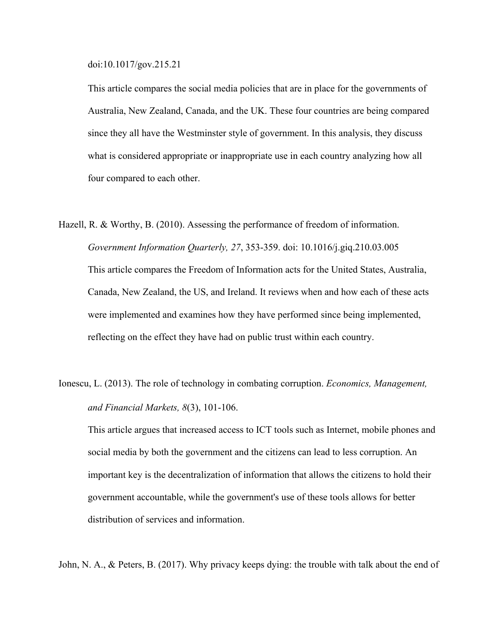doi:10.1017/gov.215.21

This article compares the social media policies that are in place for the governments of Australia, New Zealand, Canada, and the UK. These four countries are being compared since they all have the Westminster style of government. In this analysis, they discuss what is considered appropriate or inappropriate use in each country analyzing how all four compared to each other.

- Hazell, R. & Worthy, B. (2010). Assessing the performance of freedom of information. *Government Information Quarterly, 27*, 353-359. doi: 10.1016/j.giq.210.03.005 This article compares the Freedom of Information acts for the United States, Australia, Canada, New Zealand, the US, and Ireland. It reviews when and how each of these acts were implemented and examines how they have performed since being implemented, reflecting on the effect they have had on public trust within each country.
- Ionescu, L. (2013). The role of technology in combating corruption. *Economics, Management, and Financial Markets, 8*(3), 101-106.

This article argues that increased access to ICT tools such as Internet, mobile phones and social media by both the government and the citizens can lead to less corruption. An important key is the decentralization of information that allows the citizens to hold their government accountable, while the government's use of these tools allows for better distribution of services and information.

John, N. A., & Peters, B. (2017). Why privacy keeps dying: the trouble with talk about the end of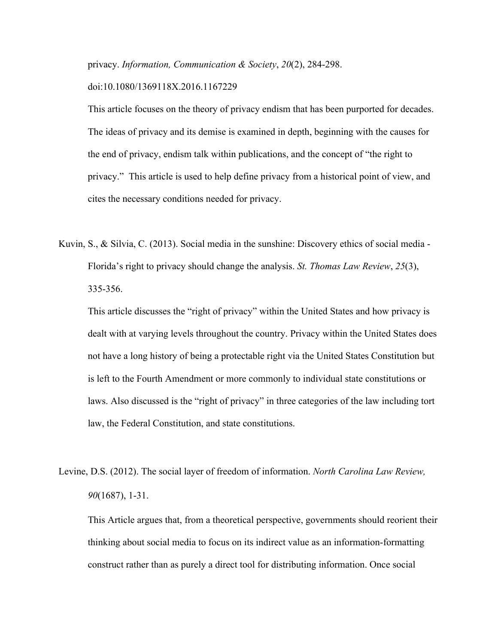privacy. *Information, Communication & Society*, *20*(2), 284-298.

## doi:10.1080/1369118X.2016.1167229

This article focuses on the theory of privacy endism that has been purported for decades. The ideas of privacy and its demise is examined in depth, beginning with the causes for the end of privacy, endism talk within publications, and the concept of "the right to privacy." This article is used to help define privacy from a historical point of view, and cites the necessary conditions needed for privacy.

Kuvin, S., & Silvia, C. (2013). Social media in the sunshine: Discovery ethics of social media - Florida's right to privacy should change the analysis. *St. Thomas Law Review*, *25*(3), 335-356.

This article discusses the "right of privacy" within the United States and how privacy is dealt with at varying levels throughout the country. Privacy within the United States does not have a long history of being a protectable right via the United States Constitution but is left to the Fourth Amendment or more commonly to individual state constitutions or laws. Also discussed is the "right of privacy" in three categories of the law including tort law, the Federal Constitution, and state constitutions.

Levine, D.S. (2012). The social layer of freedom of information. *North Carolina Law Review, 90*(1687), 1-31.

This Article argues that, from a theoretical perspective, governments should reorient their thinking about social media to focus on its indirect value as an information-formatting construct rather than as purely a direct tool for distributing information. Once social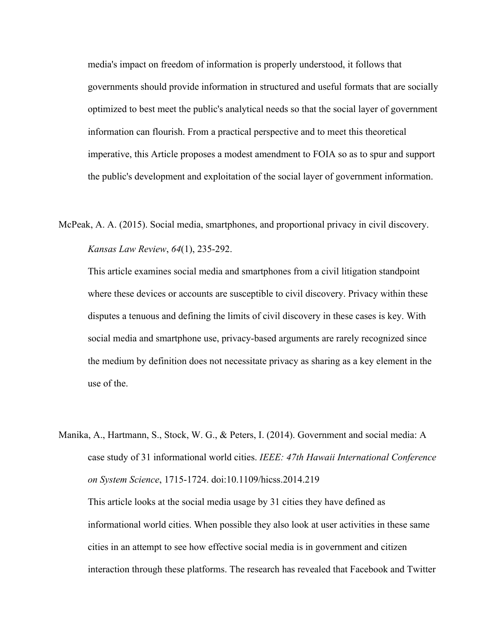media's impact on freedom of information is properly understood, it follows that governments should provide information in structured and useful formats that are socially optimized to best meet the public's analytical needs so that the social layer of government information can flourish. From a practical perspective and to meet this theoretical imperative, this Article proposes a modest amendment to FOIA so as to spur and support the public's development and exploitation of the social layer of government information.

McPeak, A. A. (2015). Social media, smartphones, and proportional privacy in civil discovery. *Kansas Law Review*, *64*(1), 235-292.

This article examines social media and smartphones from a civil litigation standpoint where these devices or accounts are susceptible to civil discovery. Privacy within these disputes a tenuous and defining the limits of civil discovery in these cases is key. With social media and smartphone use, privacy-based arguments are rarely recognized since the medium by definition does not necessitate privacy as sharing as a key element in the use of the.

Manika, A., Hartmann, S., Stock, W. G., & Peters, I. (2014). Government and social media: A case study of 31 informational world cities. *IEEE: 47th Hawaii International Conference on System Science*, 1715-1724. doi:10.1109/hicss.2014.219 This article looks at the social media usage by 31 cities they have defined as informational world cities. When possible they also look at user activities in these same cities in an attempt to see how effective social media is in government and citizen

interaction through these platforms. The research has revealed that Facebook and Twitter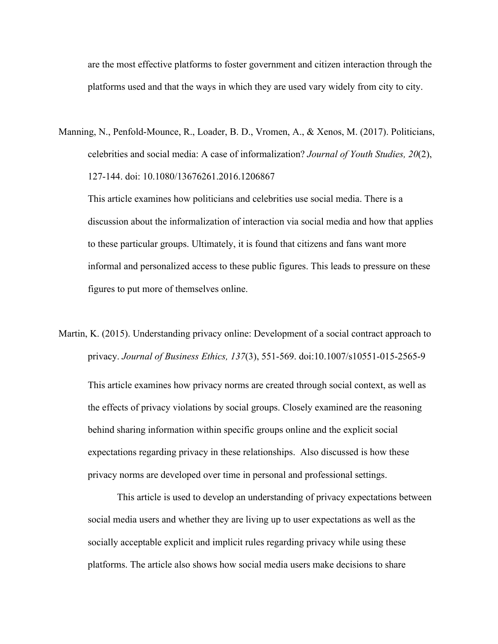are the most effective platforms to foster government and citizen interaction through the platforms used and that the ways in which they are used vary widely from city to city.

Manning, N., Penfold-Mounce, R., Loader, B. D., Vromen, A., & Xenos, M. (2017). Politicians, celebrities and social media: A case of informalization? *Journal of Youth Studies, 20*(2), 127-144. doi: 10.1080/13676261.2016.1206867

This article examines how politicians and celebrities use social media. There is a discussion about the informalization of interaction via social media and how that applies to these particular groups. Ultimately, it is found that citizens and fans want more informal and personalized access to these public figures. This leads to pressure on these figures to put more of themselves online.

Martin, K. (2015). Understanding privacy online: Development of a social contract approach to privacy. *Journal of Business Ethics, 137*(3), 551-569. doi:10.1007/s10551-015-2565-9

This article examines how privacy norms are created through social context, as well as the effects of privacy violations by social groups. Closely examined are the reasoning behind sharing information within specific groups online and the explicit social expectations regarding privacy in these relationships. Also discussed is how these privacy norms are developed over time in personal and professional settings.

This article is used to develop an understanding of privacy expectations between social media users and whether they are living up to user expectations as well as the socially acceptable explicit and implicit rules regarding privacy while using these platforms. The article also shows how social media users make decisions to share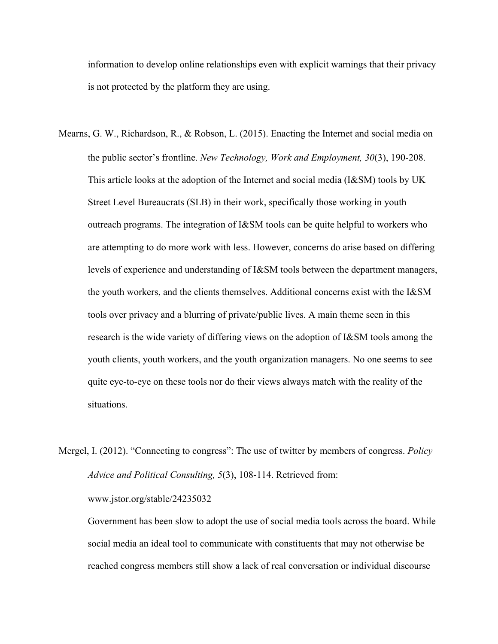information to develop online relationships even with explicit warnings that their privacy is not protected by the platform they are using.

- Mearns, G. W., Richardson, R., & Robson, L. (2015). Enacting the Internet and social media on the public sector's frontline. *New Technology, Work and Employment, 30*(3), 190-208. This article looks at the adoption of the Internet and social media (I&SM) tools by UK Street Level Bureaucrats (SLB) in their work, specifically those working in youth outreach programs. The integration of I&SM tools can be quite helpful to workers who are attempting to do more work with less. However, concerns do arise based on differing levels of experience and understanding of I&SM tools between the department managers, the youth workers, and the clients themselves. Additional concerns exist with the I&SM tools over privacy and a blurring of private/public lives. A main theme seen in this research is the wide variety of differing views on the adoption of I&SM tools among the youth clients, youth workers, and the youth organization managers. No one seems to see quite eye-to-eye on these tools nor do their views always match with the reality of the situations.
- Mergel, I. (2012). "Connecting to congress": The use of twitter by members of congress. *Policy Advice and Political Consulting, 5*(3), 108-114. Retrieved from: www.jstor.org/stable/24235032

Government has been slow to adopt the use of social media tools across the board. While social media an ideal tool to communicate with constituents that may not otherwise be reached congress members still show a lack of real conversation or individual discourse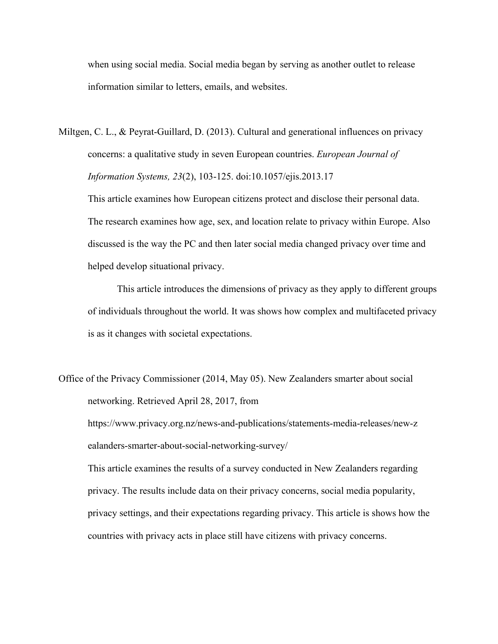when using social media. Social media began by serving as another outlet to release information similar to letters, emails, and websites.

Miltgen, C. L., & Peyrat-Guillard, D. (2013). Cultural and generational influences on privacy concerns: a qualitative study in seven European countries. *European Journal of Information Systems, 23*(2), 103-125. doi:10.1057/ejis.2013.17

This article examines how European citizens protect and disclose their personal data. The research examines how age, sex, and location relate to privacy within Europe. Also discussed is the way the PC and then later social media changed privacy over time and helped develop situational privacy.

This article introduces the dimensions of privacy as they apply to different groups of individuals throughout the world. It was shows how complex and multifaceted privacy is as it changes with societal expectations.

Office of the Privacy Commissioner (2014, May 05). New Zealanders smarter about social networking. Retrieved April 28, 2017, from https://www.privacy.org.nz/news-and-publications/statements-media-releases/new-z ealanders-smarter-about-social-networking-survey/ This article examines the results of a survey conducted in New Zealanders regarding privacy. The results include data on their privacy concerns, social media popularity, privacy settings, and their expectations regarding privacy. This article is shows how the countries with privacy acts in place still have citizens with privacy concerns.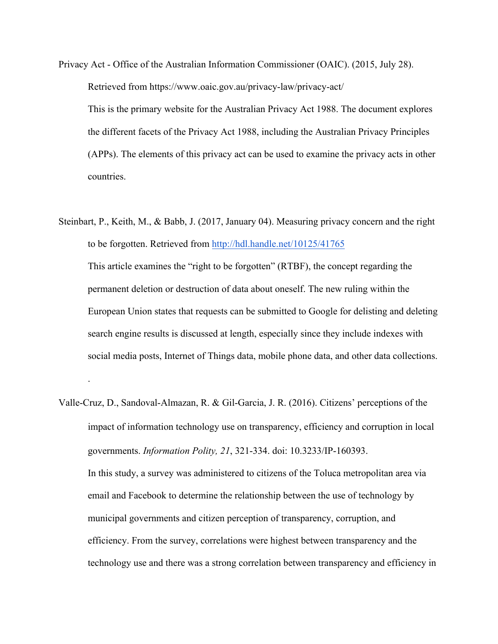Privacy Act - Office of the Australian Information Commissioner (OAIC). (2015, July 28). Retrieved from https://www.oaic.gov.au/privacy-law/privacy-act/ This is the primary website for the Australian Privacy Act 1988. The document explores the different facets of the Privacy Act 1988, including the Australian Privacy Principles (APPs). The elements of this privacy act can be used to examine the privacy acts in other countries.

Steinbart, P., Keith, M., & Babb, J. (2017, January 04). Measuring privacy concern and the right to be forgotten. Retrieved from http://hdl.handle.net/10125/41765 This article examines the "right to be forgotten" (RTBF), the concept regarding the permanent deletion or destruction of data about oneself. The new ruling within the European Union states that requests can be submitted to Google for delisting and deleting search engine results is discussed at length, especially since they include indexes with social media posts, Internet of Things data, mobile phone data, and other data collections.

.

Valle-Cruz, D., Sandoval-Almazan, R. & Gil-Garcia, J. R. (2016). Citizens' perceptions of the impact of information technology use on transparency, efficiency and corruption in local governments. *Information Polity, 21*, 321-334. doi: 10.3233/IP-160393. In this study, a survey was administered to citizens of the Toluca metropolitan area via email and Facebook to determine the relationship between the use of technology by municipal governments and citizen perception of transparency, corruption, and efficiency. From the survey, correlations were highest between transparency and the technology use and there was a strong correlation between transparency and efficiency in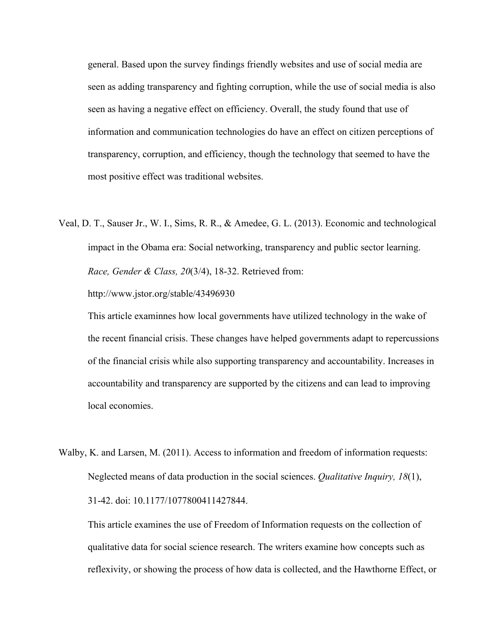general. Based upon the survey findings friendly websites and use of social media are seen as adding transparency and fighting corruption, while the use of social media is also seen as having a negative effect on efficiency. Overall, the study found that use of information and communication technologies do have an effect on citizen perceptions of transparency, corruption, and efficiency, though the technology that seemed to have the most positive effect was traditional websites.

Veal, D. T., Sauser Jr., W. I., Sims, R. R., & Amedee, G. L. (2013). Economic and technological impact in the Obama era: Social networking, transparency and public sector learning. *Race, Gender & Class, 20*(3/4), 18-32. Retrieved from:

http://www.jstor.org/stable/43496930

This article examinnes how local governments have utilized technology in the wake of the recent financial crisis. These changes have helped governments adapt to repercussions of the financial crisis while also supporting transparency and accountability. Increases in accountability and transparency are supported by the citizens and can lead to improving local economies.

Walby, K. and Larsen, M. (2011). Access to information and freedom of information requests: Neglected means of data production in the social sciences. *Qualitative Inquiry, 18*(1), 31-42. doi: 10.1177/1077800411427844.

This article examines the use of Freedom of Information requests on the collection of qualitative data for social science research. The writers examine how concepts such as reflexivity, or showing the process of how data is collected, and the Hawthorne Effect, or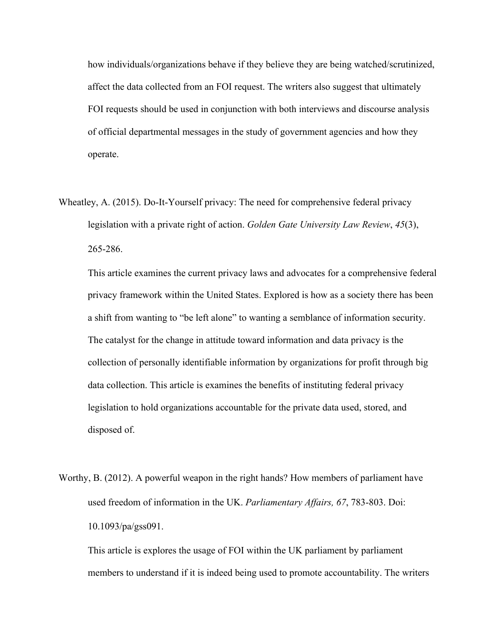how individuals/organizations behave if they believe they are being watched/scrutinized, affect the data collected from an FOI request. The writers also suggest that ultimately FOI requests should be used in conjunction with both interviews and discourse analysis of official departmental messages in the study of government agencies and how they operate.

Wheatley, A. (2015). Do-It-Yourself privacy: The need for comprehensive federal privacy legislation with a private right of action. *Golden Gate University Law Review*, *45*(3), 265-286.

This article examines the current privacy laws and advocates for a comprehensive federal privacy framework within the United States. Explored is how as a society there has been a shift from wanting to "be left alone" to wanting a semblance of information security. The catalyst for the change in attitude toward information and data privacy is the collection of personally identifiable information by organizations for profit through big data collection. This article is examines the benefits of instituting federal privacy legislation to hold organizations accountable for the private data used, stored, and disposed of.

Worthy, B. (2012). A powerful weapon in the right hands? How members of parliament have used freedom of information in the UK. *Parliamentary Affairs, 67*, 783-803. Doi: 10.1093/pa/gss091.

This article is explores the usage of FOI within the UK parliament by parliament members to understand if it is indeed being used to promote accountability. The writers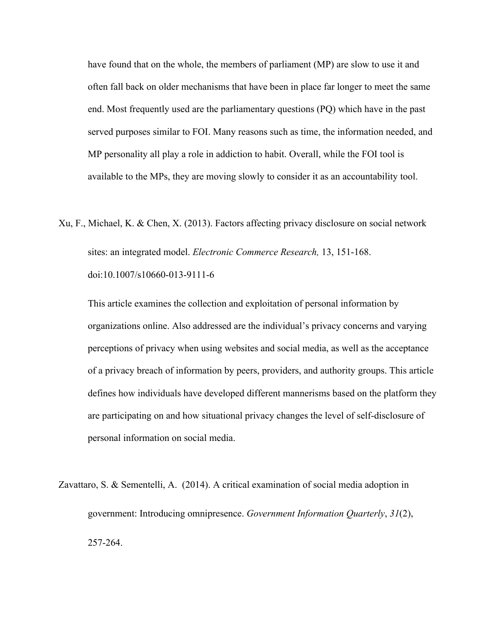have found that on the whole, the members of parliament (MP) are slow to use it and often fall back on older mechanisms that have been in place far longer to meet the same end. Most frequently used are the parliamentary questions (PQ) which have in the past served purposes similar to FOI. Many reasons such as time, the information needed, and MP personality all play a role in addiction to habit. Overall, while the FOI tool is available to the MPs, they are moving slowly to consider it as an accountability tool.

Xu, F., Michael, K. & Chen, X. (2013). Factors affecting privacy disclosure on social network sites: an integrated model. *Electronic Commerce Research,* 13, 151-168. doi:10.1007/s10660-013-9111-6

This article examines the collection and exploitation of personal information by organizations online. Also addressed are the individual's privacy concerns and varying perceptions of privacy when using websites and social media, as well as the acceptance of a privacy breach of information by peers, providers, and authority groups. This article defines how individuals have developed different mannerisms based on the platform they are participating on and how situational privacy changes the level of self-disclosure of personal information on social media.

Zavattaro, S. & Sementelli, A. (2014). A critical examination of social media adoption in government: Introducing omnipresence. *Government Information Quarterly*, *31*(2), 257-264.